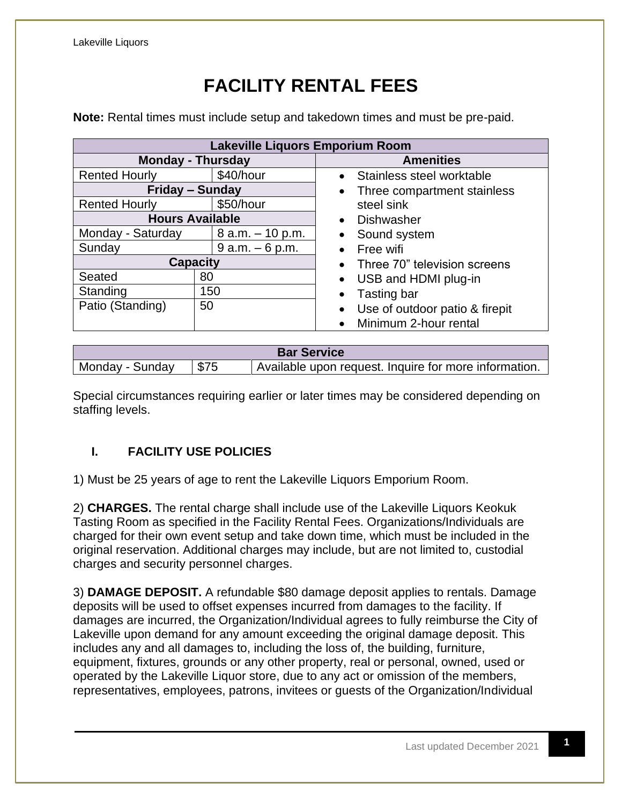## **FACILITY RENTAL FEES**

**Note:** Rental times must include setup and takedown times and must be pre-paid.

| <b>Lakeville Liquors Emporium Room</b> |                     |                                |  |  |  |
|----------------------------------------|---------------------|--------------------------------|--|--|--|
| <b>Monday - Thursday</b>               |                     | <b>Amenities</b>               |  |  |  |
| <b>Rented Hourly</b>                   | \$40/hour           | Stainless steel worktable      |  |  |  |
| Friday – Sunday                        |                     | Three compartment stainless    |  |  |  |
| <b>Rented Hourly</b>                   | \$50/hour           | steel sink                     |  |  |  |
| <b>Hours Available</b>                 |                     | Dishwasher                     |  |  |  |
| Monday - Saturday                      | $8$ a.m. $-10$ p.m. | Sound system                   |  |  |  |
| Sunday                                 | $9 a.m. - 6 p.m.$   | Free wifi                      |  |  |  |
| <b>Capacity</b>                        |                     | Three 70" television screens   |  |  |  |
| Seated                                 | 80                  | USB and HDMI plug-in           |  |  |  |
| Standing                               | 150                 | Tasting bar                    |  |  |  |
| Patio (Standing)                       | 50                  | Use of outdoor patio & firepit |  |  |  |
|                                        |                     | Minimum 2-hour rental          |  |  |  |

| <b>Bar Service</b> |      |                                                       |  |  |  |
|--------------------|------|-------------------------------------------------------|--|--|--|
| Monday - Sunday    | \$75 | Available upon request. Inquire for more information. |  |  |  |

Special circumstances requiring earlier or later times may be considered depending on staffing levels.

## **I. FACILITY USE POLICIES**

1) Must be 25 years of age to rent the Lakeville Liquors Emporium Room.

2) **CHARGES.** The rental charge shall include use of the Lakeville Liquors Keokuk Tasting Room as specified in the Facility Rental Fees. Organizations/Individuals are charged for their own event setup and take down time, which must be included in the original reservation. Additional charges may include, but are not limited to, custodial charges and security personnel charges.

3) **DAMAGE DEPOSIT.** A refundable \$80 damage deposit applies to rentals. Damage deposits will be used to offset expenses incurred from damages to the facility. If damages are incurred, the Organization/Individual agrees to fully reimburse the City of Lakeville upon demand for any amount exceeding the original damage deposit. This includes any and all damages to, including the loss of, the building, furniture, equipment, fixtures, grounds or any other property, real or personal, owned, used or operated by the Lakeville Liquor store, due to any act or omission of the members, representatives, employees, patrons, invitees or guests of the Organization/Individual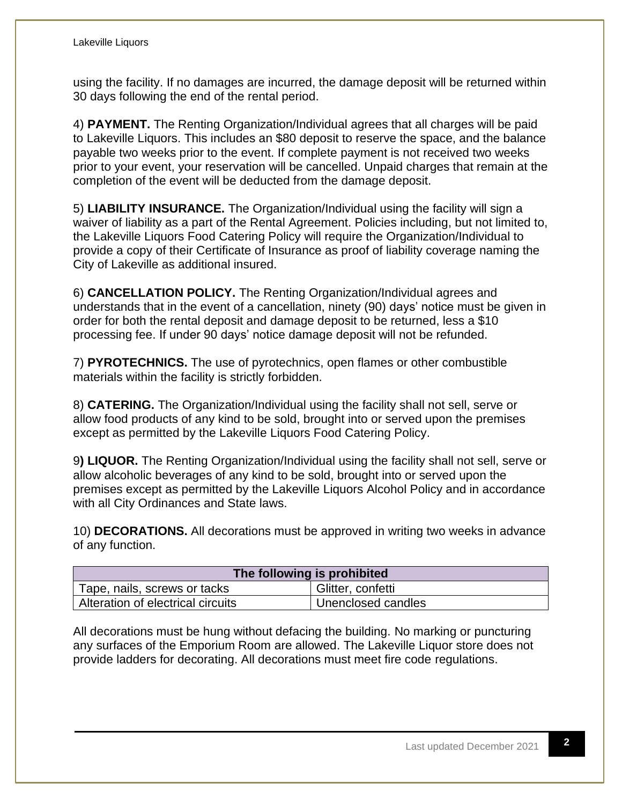using the facility. If no damages are incurred, the damage deposit will be returned within 30 days following the end of the rental period.

4) **PAYMENT.** The Renting Organization/Individual agrees that all charges will be paid to Lakeville Liquors. This includes an \$80 deposit to reserve the space, and the balance payable two weeks prior to the event. If complete payment is not received two weeks prior to your event, your reservation will be cancelled. Unpaid charges that remain at the completion of the event will be deducted from the damage deposit.

5) **LIABILITY INSURANCE.** The Organization/Individual using the facility will sign a waiver of liability as a part of the Rental Agreement. Policies including, but not limited to, the Lakeville Liquors Food Catering Policy will require the Organization/Individual to provide a copy of their Certificate of Insurance as proof of liability coverage naming the City of Lakeville as additional insured.

6) **CANCELLATION POLICY.** The Renting Organization/Individual agrees and understands that in the event of a cancellation, ninety (90) days' notice must be given in order for both the rental deposit and damage deposit to be returned, less a \$10 processing fee. If under 90 days' notice damage deposit will not be refunded.

7) **PYROTECHNICS.** The use of pyrotechnics, open flames or other combustible materials within the facility is strictly forbidden.

8) **CATERING.** The Organization/Individual using the facility shall not sell, serve or allow food products of any kind to be sold, brought into or served upon the premises except as permitted by the Lakeville Liquors Food Catering Policy.

9**) LIQUOR.** The Renting Organization/Individual using the facility shall not sell, serve or allow alcoholic beverages of any kind to be sold, brought into or served upon the premises except as permitted by the Lakeville Liquors Alcohol Policy and in accordance with all City Ordinances and State laws.

10) **DECORATIONS.** All decorations must be approved in writing two weeks in advance of any function.

| The following is prohibited       |                    |  |  |  |
|-----------------------------------|--------------------|--|--|--|
| Tape, nails, screws or tacks      | Glitter, confetti  |  |  |  |
| Alteration of electrical circuits | Unenclosed candles |  |  |  |

All decorations must be hung without defacing the building. No marking or puncturing any surfaces of the Emporium Room are allowed. The Lakeville Liquor store does not provide ladders for decorating. All decorations must meet fire code regulations.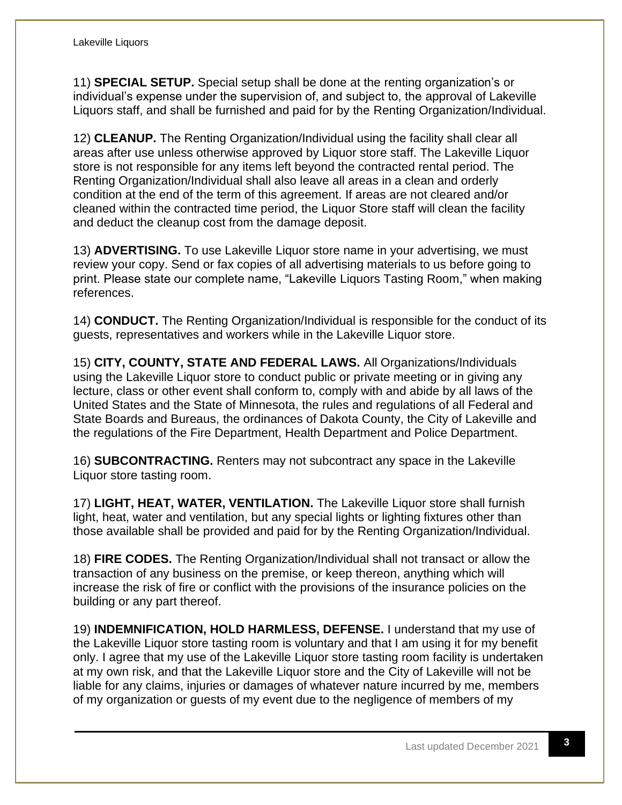11) **SPECIAL SETUP.** Special setup shall be done at the renting organization's or individual's expense under the supervision of, and subject to, the approval of Lakeville Liquors staff, and shall be furnished and paid for by the Renting Organization/Individual.

12) **CLEANUP.** The Renting Organization/Individual using the facility shall clear all areas after use unless otherwise approved by Liquor store staff. The Lakeville Liquor store is not responsible for any items left beyond the contracted rental period. The Renting Organization/Individual shall also leave all areas in a clean and orderly condition at the end of the term of this agreement. If areas are not cleared and/or cleaned within the contracted time period, the Liquor Store staff will clean the facility and deduct the cleanup cost from the damage deposit.

13) **ADVERTISING.** To use Lakeville Liquor store name in your advertising, we must review your copy. Send or fax copies of all advertising materials to us before going to print. Please state our complete name, "Lakeville Liquors Tasting Room," when making references.

14) **CONDUCT.** The Renting Organization/Individual is responsible for the conduct of its guests, representatives and workers while in the Lakeville Liquor store.

15) **CITY, COUNTY, STATE AND FEDERAL LAWS.** All Organizations/Individuals using the Lakeville Liquor store to conduct public or private meeting or in giving any lecture, class or other event shall conform to, comply with and abide by all laws of the United States and the State of Minnesota, the rules and regulations of all Federal and State Boards and Bureaus, the ordinances of Dakota County, the City of Lakeville and the regulations of the Fire Department, Health Department and Police Department.

16) **SUBCONTRACTING.** Renters may not subcontract any space in the Lakeville Liquor store tasting room.

17) **LIGHT, HEAT, WATER, VENTILATION.** The Lakeville Liquor store shall furnish light, heat, water and ventilation, but any special lights or lighting fixtures other than those available shall be provided and paid for by the Renting Organization/Individual.

18) **FIRE CODES.** The Renting Organization/Individual shall not transact or allow the transaction of any business on the premise, or keep thereon, anything which will increase the risk of fire or conflict with the provisions of the insurance policies on the building or any part thereof.

19) **INDEMNIFICATION, HOLD HARMLESS, DEFENSE.** I understand that my use of the Lakeville Liquor store tasting room is voluntary and that I am using it for my benefit only. I agree that my use of the Lakeville Liquor store tasting room facility is undertaken at my own risk, and that the Lakeville Liquor store and the City of Lakeville will not be liable for any claims, injuries or damages of whatever nature incurred by me, members of my organization or guests of my event due to the negligence of members of my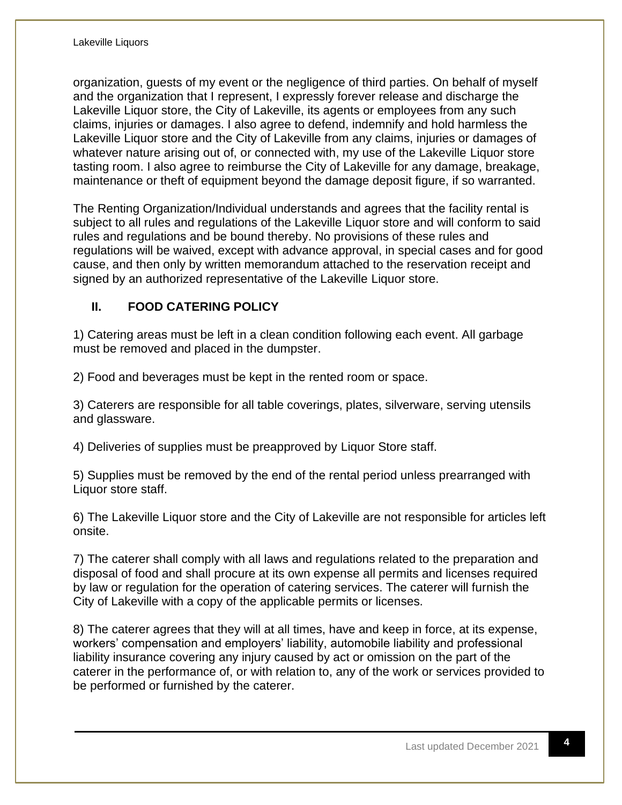organization, guests of my event or the negligence of third parties. On behalf of myself and the organization that I represent, I expressly forever release and discharge the Lakeville Liquor store, the City of Lakeville, its agents or employees from any such claims, injuries or damages. I also agree to defend, indemnify and hold harmless the Lakeville Liquor store and the City of Lakeville from any claims, injuries or damages of whatever nature arising out of, or connected with, my use of the Lakeville Liquor store tasting room. I also agree to reimburse the City of Lakeville for any damage, breakage, maintenance or theft of equipment beyond the damage deposit figure, if so warranted.

The Renting Organization/Individual understands and agrees that the facility rental is subject to all rules and regulations of the Lakeville Liquor store and will conform to said rules and regulations and be bound thereby. No provisions of these rules and regulations will be waived, except with advance approval, in special cases and for good cause, and then only by written memorandum attached to the reservation receipt and signed by an authorized representative of the Lakeville Liquor store.

## **II. FOOD CATERING POLICY**

1) Catering areas must be left in a clean condition following each event. All garbage must be removed and placed in the dumpster.

2) Food and beverages must be kept in the rented room or space.

3) Caterers are responsible for all table coverings, plates, silverware, serving utensils and glassware.

4) Deliveries of supplies must be preapproved by Liquor Store staff.

5) Supplies must be removed by the end of the rental period unless prearranged with Liquor store staff.

6) The Lakeville Liquor store and the City of Lakeville are not responsible for articles left onsite.

7) The caterer shall comply with all laws and regulations related to the preparation and disposal of food and shall procure at its own expense all permits and licenses required by law or regulation for the operation of catering services. The caterer will furnish the City of Lakeville with a copy of the applicable permits or licenses.

8) The caterer agrees that they will at all times, have and keep in force, at its expense, workers' compensation and employers' liability, automobile liability and professional liability insurance covering any injury caused by act or omission on the part of the caterer in the performance of, or with relation to, any of the work or services provided to be performed or furnished by the caterer.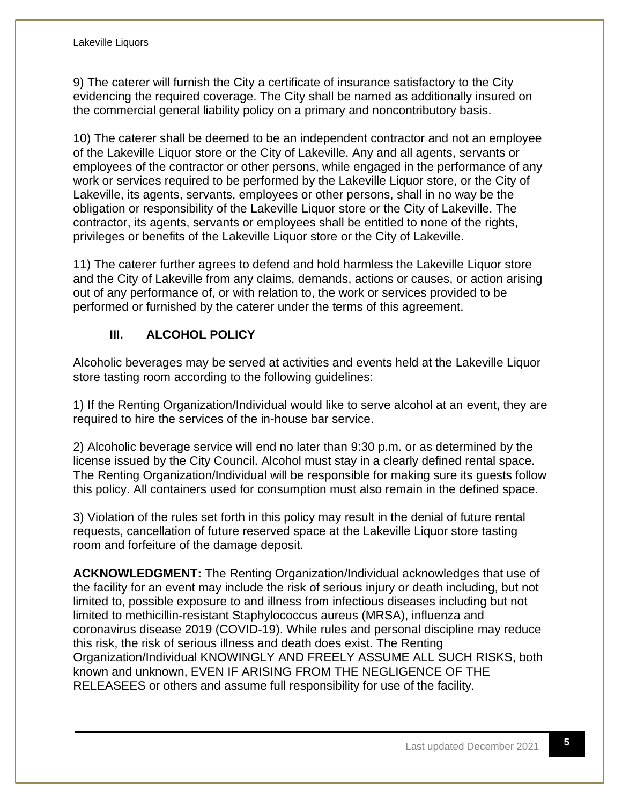9) The caterer will furnish the City a certificate of insurance satisfactory to the City evidencing the required coverage. The City shall be named as additionally insured on the commercial general liability policy on a primary and noncontributory basis.

10) The caterer shall be deemed to be an independent contractor and not an employee of the Lakeville Liquor store or the City of Lakeville. Any and all agents, servants or employees of the contractor or other persons, while engaged in the performance of any work or services required to be performed by the Lakeville Liquor store, or the City of Lakeville, its agents, servants, employees or other persons, shall in no way be the obligation or responsibility of the Lakeville Liquor store or the City of Lakeville. The contractor, its agents, servants or employees shall be entitled to none of the rights, privileges or benefits of the Lakeville Liquor store or the City of Lakeville.

11) The caterer further agrees to defend and hold harmless the Lakeville Liquor store and the City of Lakeville from any claims, demands, actions or causes, or action arising out of any performance of, or with relation to, the work or services provided to be performed or furnished by the caterer under the terms of this agreement.

## **III. ALCOHOL POLICY**

Alcoholic beverages may be served at activities and events held at the Lakeville Liquor store tasting room according to the following guidelines:

1) If the Renting Organization/Individual would like to serve alcohol at an event, they are required to hire the services of the in-house bar service.

2) Alcoholic beverage service will end no later than 9:30 p.m. or as determined by the license issued by the City Council. Alcohol must stay in a clearly defined rental space. The Renting Organization/Individual will be responsible for making sure its guests follow this policy. All containers used for consumption must also remain in the defined space.

3) Violation of the rules set forth in this policy may result in the denial of future rental requests, cancellation of future reserved space at the Lakeville Liquor store tasting room and forfeiture of the damage deposit.

**ACKNOWLEDGMENT:** The Renting Organization/Individual acknowledges that use of the facility for an event may include the risk of serious injury or death including, but not limited to, possible exposure to and illness from infectious diseases including but not limited to methicillin-resistant Staphylococcus aureus (MRSA), influenza and coronavirus disease 2019 (COVID-19). While rules and personal discipline may reduce this risk, the risk of serious illness and death does exist. The Renting Organization/Individual KNOWINGLY AND FREELY ASSUME ALL SUCH RISKS, both known and unknown, EVEN IF ARISING FROM THE NEGLIGENCE OF THE RELEASEES or others and assume full responsibility for use of the facility.